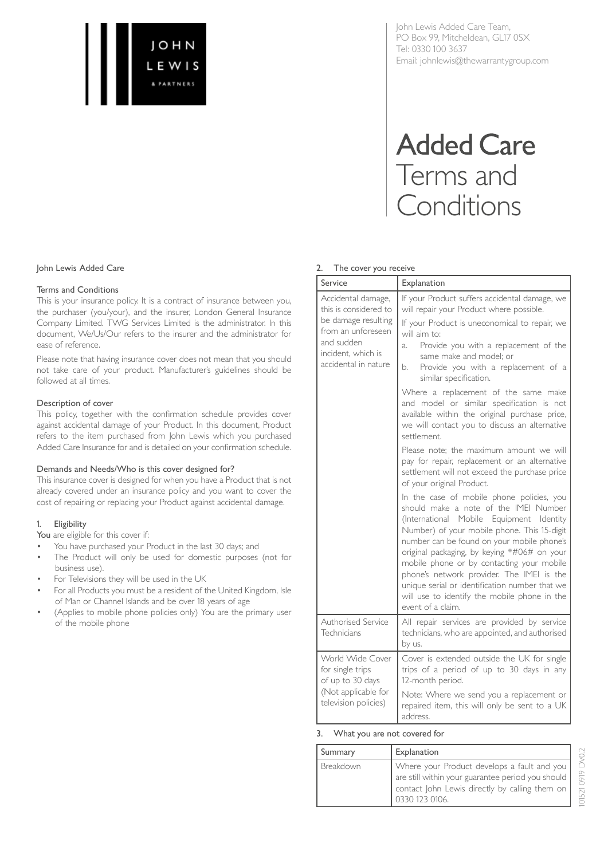

John Lewis Added Care Team, PO Box 99, Mitcheldean, GL17 0SX Tel: 0330 100 3637 Email: johnlewis@thewarrantygroup.com

# **Added Care** Terms and Conditions

## 2. The cover you receive

| Service                                                                                                                                              | Explanation                                                                                                                                                                                                                                                                                                                                                                                                                                                                                                                                                                                                                                                                                                                                                                                                                                                                                                                                                                                                                                                                                                                                                           |
|------------------------------------------------------------------------------------------------------------------------------------------------------|-----------------------------------------------------------------------------------------------------------------------------------------------------------------------------------------------------------------------------------------------------------------------------------------------------------------------------------------------------------------------------------------------------------------------------------------------------------------------------------------------------------------------------------------------------------------------------------------------------------------------------------------------------------------------------------------------------------------------------------------------------------------------------------------------------------------------------------------------------------------------------------------------------------------------------------------------------------------------------------------------------------------------------------------------------------------------------------------------------------------------------------------------------------------------|
| Accidental damage,<br>this is considered to<br>be damage resulting<br>from an unforeseen<br>and sudden<br>incident, which is<br>accidental in nature | If your Product suffers accidental damage, we<br>will repair your Product where possible.<br>If your Product is uneconomical to repair, we<br>will aim to:<br>Provide you with a replacement of the<br>a.<br>same make and model; or<br>Provide you with a replacement of a<br>b.<br>similar specification.<br>Where a replacement of the same make<br>and model or similar specification is not<br>available within the original purchase price,<br>we will contact you to discuss an alternative<br>settlement.<br>Please note; the maximum amount we will<br>pay for repair, replacement or an alternative<br>settlement will not exceed the purchase price<br>of your original Product.<br>In the case of mobile phone policies, you<br>should make a note of the IMEI Number<br>(International Mobile Equipment Identity<br>Number) of your mobile phone. This 15-digit<br>number can be found on your mobile phone's<br>original packaging, by keying *#06# on your<br>mobile phone or by contacting your mobile<br>phone's network provider. The IMEI is the<br>unique serial or identification number that we<br>will use to identify the mobile phone in the |
| Authorised Service<br>Technicians                                                                                                                    | event of a claim.<br>All repair services are provided by service<br>technicians, who are appointed, and authorised<br>by us.                                                                                                                                                                                                                                                                                                                                                                                                                                                                                                                                                                                                                                                                                                                                                                                                                                                                                                                                                                                                                                          |
| World Wide Cover<br>for single trips<br>of up to 30 days<br>(Not applicable for<br>television policies)                                              | Cover is extended outside the UK for single<br>trips of a period of up to 30 days in any<br>12-month period.<br>Note: Where we send you a replacement or<br>repaired item, this will only be sent to a UK<br>address.                                                                                                                                                                                                                                                                                                                                                                                                                                                                                                                                                                                                                                                                                                                                                                                                                                                                                                                                                 |

## 3. What you are not covered for

| Summary   | Explanation                                                                                                                                                            |
|-----------|------------------------------------------------------------------------------------------------------------------------------------------------------------------------|
| Breakdown | Where your Product develops a fault and you  <br>are still within your guarantee period you should<br>contact John Lewis directly by calling them on<br>0330 123 0106. |

101521 0919 DV0.2

101521 0919 DV0.2

## John Lewis Added Care

#### Terms and Conditions

This is your insurance policy. It is a contract of insurance between you, the purchaser (you/your), and the insurer, London General Insurance Company Limited. TWG Services Limited is the administrator. In this document, We/Us/Our refers to the insurer and the administrator for ease of reference.

Please note that having insurance cover does not mean that you should not take care of your product. Manufacturer's guidelines should be followed at all times.

#### Description of cover

This policy, together with the confirmation schedule provides cover against accidental damage of your Product. In this document, Product refers to the item purchased from John Lewis which you purchased Added Care Insurance for and is detailed on your confirmation schedule.

#### Demands and Needs/Who is this cover designed for?

This insurance cover is designed for when you have a Product that is not already covered under an insurance policy and you want to cover the cost of repairing or replacing your Product against accidental damage.

#### 1. Eligibility

You are eligible for this cover if:

- You have purchased your Product in the last 30 days; and
- The Product will only be used for domestic purposes (not for business use).
- For Televisions they will be used in the UK
- For all Products you must be a resident of the United Kingdom, Isle of Man or Channel Islands and be over 18 years of age
- (Applies to mobile phone policies only) You are the primary user of the mobile phone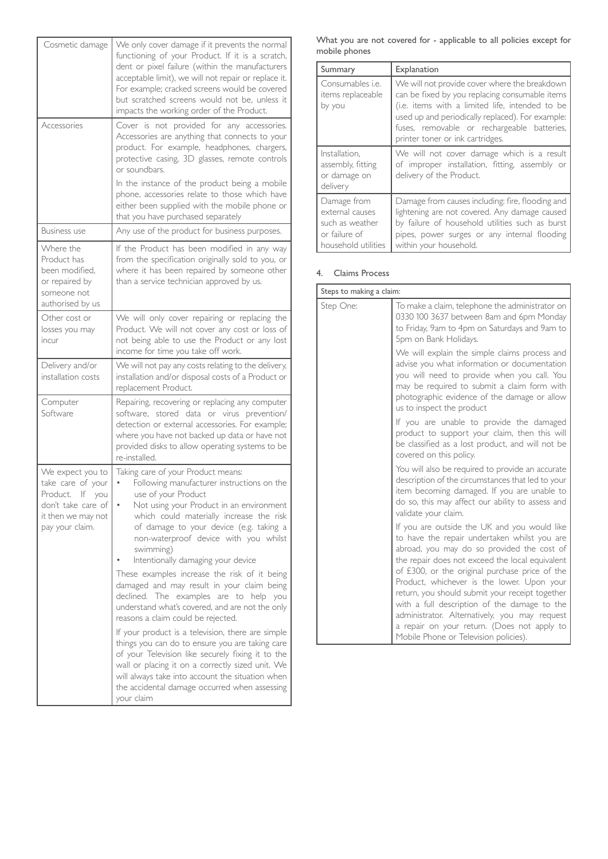| Cosmetic damage                                                                                                         | We only cover damage if it prevents the normal<br>functioning of your Product. If it is a scratch,<br>dent or pixel failure (within the manufacturers<br>acceptable limit), we will not repair or replace it.<br>For example; cracked screens would be covered<br>but scratched screens would not be, unless it<br>impacts the working order of the Product.                                                                                                                                                                                                                                                                                                                                                                                                                                                                                                                                                |
|-------------------------------------------------------------------------------------------------------------------------|-------------------------------------------------------------------------------------------------------------------------------------------------------------------------------------------------------------------------------------------------------------------------------------------------------------------------------------------------------------------------------------------------------------------------------------------------------------------------------------------------------------------------------------------------------------------------------------------------------------------------------------------------------------------------------------------------------------------------------------------------------------------------------------------------------------------------------------------------------------------------------------------------------------|
| Accessories                                                                                                             | Cover is not provided for any accessories.<br>Accessories are anything that connects to your<br>product. For example, headphones, chargers,<br>protective casing, 3D glasses, remote controls<br>or soundbars.<br>In the instance of the product being a mobile                                                                                                                                                                                                                                                                                                                                                                                                                                                                                                                                                                                                                                             |
|                                                                                                                         | phone, accessories relate to those which have<br>either been supplied with the mobile phone or<br>that you have purchased separately                                                                                                                                                                                                                                                                                                                                                                                                                                                                                                                                                                                                                                                                                                                                                                        |
| <b>Business use</b>                                                                                                     | Any use of the product for business purposes.                                                                                                                                                                                                                                                                                                                                                                                                                                                                                                                                                                                                                                                                                                                                                                                                                                                               |
| Where the<br>Product has<br>been modified.<br>or repaired by<br>someone not<br>authorised by us                         | If the Product has been modified in any way<br>from the specification originally sold to you, or<br>where it has been repaired by someone other<br>than a service technician approved by us.                                                                                                                                                                                                                                                                                                                                                                                                                                                                                                                                                                                                                                                                                                                |
| Other cost or<br>losses you may<br>incur                                                                                | We will only cover repairing or replacing the<br>Product. We will not cover any cost or loss of<br>not being able to use the Product or any lost<br>income for time you take off work.                                                                                                                                                                                                                                                                                                                                                                                                                                                                                                                                                                                                                                                                                                                      |
| Delivery and/or<br>installation costs                                                                                   | We will not pay any costs relating to the delivery,<br>installation and/or disposal costs of a Product or<br>replacement Product.                                                                                                                                                                                                                                                                                                                                                                                                                                                                                                                                                                                                                                                                                                                                                                           |
| Computer<br>Software                                                                                                    | Repairing, recovering or replacing any computer<br>software, stored data or virus prevention/<br>detection or external accessories. For example;<br>where you have not backed up data or have not<br>provided disks to allow operating systems to be<br>re-installed.                                                                                                                                                                                                                                                                                                                                                                                                                                                                                                                                                                                                                                       |
| We expect you to<br>take care of your<br>Product. If you<br>don't take care of<br>it then we may not<br>pay your claim. | Taking care of your Product means:<br>Following manufacturer instructions on the<br>use of your Product<br>Not using your Product in an environment<br>which could materially increase the risk<br>of damage to your device (e.g. taking a<br>non-waterproof device with you whilst<br>swimming)<br>Intentionally damaging your device<br>These examples increase the risk of it being<br>damaged and may result in your claim being<br>declined. The examples are to help you<br>understand what's covered, and are not the only<br>reasons a claim could be rejected.<br>If your product is a television, there are simple<br>things you can do to ensure you are taking care<br>of your Television like securely fixing it to the<br>wall or placing it on a correctly sized unit. We<br>will always take into account the situation when<br>the accidental damage occurred when assessing<br>your claim |

| What you are not covered for - applicable to all policies except for |  |  |  |
|----------------------------------------------------------------------|--|--|--|
| mobile phones                                                        |  |  |  |

| Summary                                                                                   | Explanation                                                                                                                                                                                                                                                                               |
|-------------------------------------------------------------------------------------------|-------------------------------------------------------------------------------------------------------------------------------------------------------------------------------------------------------------------------------------------------------------------------------------------|
| Consumables <i>i.e.</i><br>items replaceable<br>by you                                    | We will not provide cover where the breakdown<br>can be fixed by you replacing consumable items<br>(i.e. items with a limited life, intended to be<br>used up and periodically replaced). For example:<br>fuses, removable or rechargeable batteries,<br>printer toner or ink cartridges. |
| Installation,<br>assembly, fitting<br>or damage on<br>delivery                            | We will not cover damage which is a result<br>of improper installation, fitting, assembly or<br>delivery of the Product.                                                                                                                                                                  |
| Damage from<br>external causes<br>such as weather<br>or failure of<br>household utilities | Damage from causes including: fire, flooding and<br>lightening are not covered. Any damage caused<br>by failure of household utilities such as burst<br>pipes, power surges or any internal flooding<br>within your household.                                                            |

## 4. Claims Process

| Steps to making a claim: |                                                                                                                                                                                                                                                                                                                                                                                                                                                                                                                                           |  |
|--------------------------|-------------------------------------------------------------------------------------------------------------------------------------------------------------------------------------------------------------------------------------------------------------------------------------------------------------------------------------------------------------------------------------------------------------------------------------------------------------------------------------------------------------------------------------------|--|
| Step One:                | To make a claim, telephone the administrator on<br>0330 100 3637 between 8am and 6pm Monday<br>to Friday, 9am to 4pm on Saturdays and 9am to<br>5pm on Bank Holidays.                                                                                                                                                                                                                                                                                                                                                                     |  |
|                          | We will explain the simple claims process and<br>advise you what information or documentation<br>you will need to provide when you call. You<br>may be required to submit a claim form with<br>photographic evidence of the damage or allow<br>us to inspect the product                                                                                                                                                                                                                                                                  |  |
|                          | If you are unable to provide the damaged<br>product to support your claim, then this will<br>be classified as a lost product, and will not be<br>covered on this policy.                                                                                                                                                                                                                                                                                                                                                                  |  |
|                          | You will also be required to provide an accurate<br>description of the circumstances that led to your<br>item becoming damaged. If you are unable to<br>do so, this may affect our ability to assess and<br>validate your claim.                                                                                                                                                                                                                                                                                                          |  |
|                          | If you are outside the UK and you would like<br>to have the repair undertaken whilst you are<br>abroad, you may do so provided the cost of<br>the repair does not exceed the local equivalent<br>of £300, or the original purchase price of the<br>Product, whichever is the lower. Upon your<br>return, you should submit your receipt together<br>with a full description of the damage to the<br>administrator. Alternatively, you may request<br>a repair on your return. (Does not apply to<br>Mobile Phone or Television policies). |  |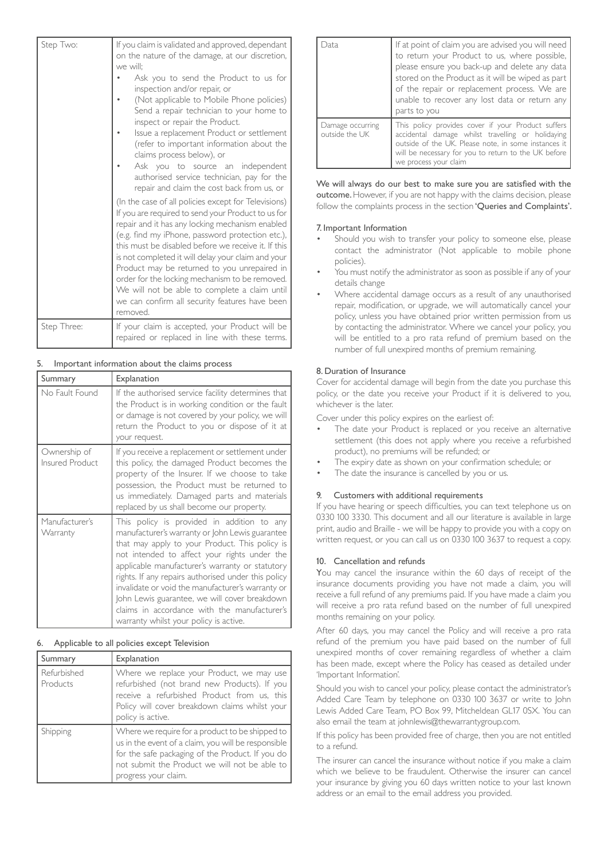| Step Two:   | If you claim is validated and approved, dependant<br>on the nature of the damage, at our discretion,<br>we will:<br>Ask you to send the Product to us for<br>inspection and/or repair, or<br>(Not applicable to Mobile Phone policies)<br>Send a repair technician to your home to<br>inspect or repair the Product.<br>Issue a replacement Product or settlement<br>(refer to important information about the<br>claims process below), or<br>Ask you to source an independent<br>authorised service technician, pay for the<br>repair and claim the cost back from us, or<br>(In the case of all policies except for Televisions)<br>If you are required to send your Product to us for<br>repair and it has any locking mechanism enabled<br>(e.g. find my iPhone, password protection etc.),<br>this must be disabled before we receive it. If this<br>is not completed it will delay your claim and your<br>Product may be returned to you unrepaired in<br>order for the locking mechanism to be removed.<br>We will not be able to complete a claim until<br>we can confirm all security features have been |
|-------------|--------------------------------------------------------------------------------------------------------------------------------------------------------------------------------------------------------------------------------------------------------------------------------------------------------------------------------------------------------------------------------------------------------------------------------------------------------------------------------------------------------------------------------------------------------------------------------------------------------------------------------------------------------------------------------------------------------------------------------------------------------------------------------------------------------------------------------------------------------------------------------------------------------------------------------------------------------------------------------------------------------------------------------------------------------------------------------------------------------------------|
| Step Three: | removed.<br>If your claim is accepted, your Product will be                                                                                                                                                                                                                                                                                                                                                                                                                                                                                                                                                                                                                                                                                                                                                                                                                                                                                                                                                                                                                                                        |
|             | repaired or replaced in line with these terms.                                                                                                                                                                                                                                                                                                                                                                                                                                                                                                                                                                                                                                                                                                                                                                                                                                                                                                                                                                                                                                                                     |

## Important information about the claims process

| Summary                         | Explanation                                                                                                                                                                                                                                                                                                                                                                                                                                                                                               |
|---------------------------------|-----------------------------------------------------------------------------------------------------------------------------------------------------------------------------------------------------------------------------------------------------------------------------------------------------------------------------------------------------------------------------------------------------------------------------------------------------------------------------------------------------------|
| No Fault Found                  | If the authorised service facility determines that<br>the Product is in working condition or the fault<br>or damage is not covered by your policy, we will<br>return the Product to you or dispose of it at<br>your request.                                                                                                                                                                                                                                                                              |
| Ownership of<br>Insured Product | If you receive a replacement or settlement under<br>this policy, the damaged Product becomes the<br>property of the Insurer. If we choose to take<br>possession, the Product must be returned to<br>us immediately. Damaged parts and materials<br>replaced by us shall become our property.                                                                                                                                                                                                              |
| Manufacturer's<br>Warranty      | This policy is provided in addition to any<br>manufacturer's warranty or John Lewis guarantee<br>that may apply to your Product. This policy is<br>not intended to affect your rights under the<br>applicable manufacturer's warranty or statutory<br>rights. If any repairs authorised under this policy<br>invalidate or void the manufacturer's warranty or<br>John Lewis guarantee, we will cover breakdown<br>claims in accordance with the manufacturer's<br>warranty whilst your policy is active. |

#### 6. Applicable to all policies except Television

| Summary                 | Explanation                                                                                                                                                                                                                         |
|-------------------------|-------------------------------------------------------------------------------------------------------------------------------------------------------------------------------------------------------------------------------------|
| Refurbished<br>Products | Where we replace your Product, we may use<br>refurbished (not brand new Products). If you<br>receive a refurbished Product from us, this<br>Policy will cover breakdown claims whilst your<br>policy is active.                     |
| Shipping                | Where we require for a product to be shipped to<br>us in the event of a claim, you will be responsible<br>for the safe packaging of the Product. If you do<br>not submit the Product we will not be able to<br>progress your claim. |

| Jata                               | If at point of claim you are advised you will need<br>to return your Product to us, where possible,<br>please ensure you back-up and delete any data<br>stored on the Product as it will be wiped as part<br>of the repair or replacement process. We are<br>unable to recover any lost data or return any<br>parts to you |
|------------------------------------|----------------------------------------------------------------------------------------------------------------------------------------------------------------------------------------------------------------------------------------------------------------------------------------------------------------------------|
| Damage occurring<br>outside the UK | This policy provides cover if your Product suffers<br>accidental damage whilst travelling or holidaying<br>outside of the UK. Please note, in some instances it<br>will be necessary for you to return to the UK before<br>we process your claim                                                                           |

We will always do our best to make sure you are satisfied with the outcome. However, if you are not happy with the claims decision, please follow the complaints process in the section 'Queries and Complaints'.

#### 7. Important Information

- Should you wish to transfer your policy to someone else, please contact the administrator (Not applicable to mobile phone policies).
- You must notify the administrator as soon as possible if any of your details change
- Where accidental damage occurs as a result of any unauthorised repair, modification, or upgrade, we will automatically cancel your policy, unless you have obtained prior written permission from us by contacting the administrator. Where we cancel your policy, you will be entitled to a pro rata refund of premium based on the number of full unexpired months of premium remaining.

## 8. Duration of Insurance

Cover for accidental damage will begin from the date you purchase this policy, or the date you receive your Product if it is delivered to you, whichever is the later.

Cover under this policy expires on the earliest of:

- The date your Product is replaced or you receive an alternative settlement (this does not apply where you receive a refurbished product), no premiums will be refunded; or
- The expiry date as shown on your confirmation schedule; or
- The date the insurance is cancelled by you or us.

## 9. Customers with additional requirements

If you have hearing or speech difficulties, you can text telephone us on 0330 100 3330. This document and all our literature is available in large print, audio and Braille - we will be happy to provide you with a copy on written request, or you can call us on 0330 100 3637 to request a copy.

## 10. Cancellation and refunds

You may cancel the insurance within the 60 days of receipt of the insurance documents providing you have not made a claim, you will receive a full refund of any premiums paid. If you have made a claim you will receive a pro rata refund based on the number of full unexpired months remaining on your policy.

After 60 days, you may cancel the Policy and will receive a pro rata refund of the premium you have paid based on the number of full unexpired months of cover remaining regardless of whether a claim has been made, except where the Policy has ceased as detailed under 'Important Information'.

Should you wish to cancel your policy, please contact the administrator's Added Care Team by telephone on 0330 100 3637 or write to John Lewis Added Care Team, PO Box 99, Mitcheldean GL17 0SX. You can also email the team at johnlewis@thewarrantygroup.com.

If this policy has been provided free of charge, then you are not entitled to a refund.

The insurer can cancel the insurance without notice if you make a claim which we believe to be fraudulent. Otherwise the insurer can cancel your insurance by giving you 60 days written notice to your last known address or an email to the email address you provided.